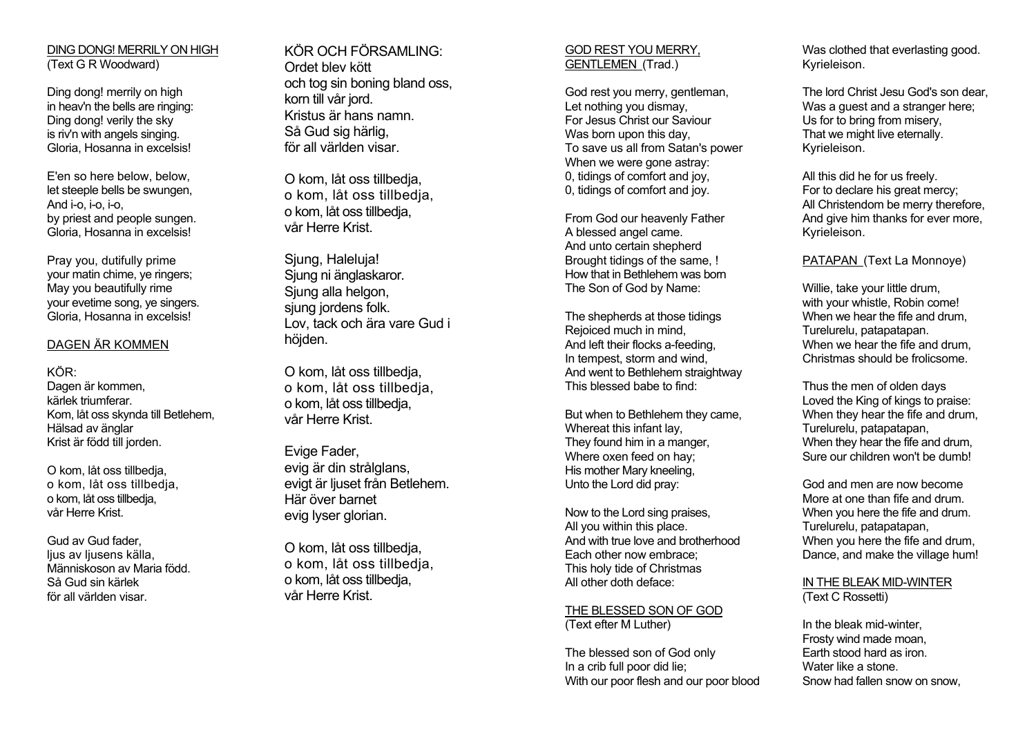DING DONG! MERRILY ON HIGH (Text G R Woodward)

Ding dong! merrily on high in heav'n the bells are ringing: Ding dong! verily the sky is riv'n with angels singing. Gloria, Hosanna in excelsis!

E'en so here below, below, let steeple bells be swungen, And i-o, i-o, i-o, by priest and people sungen. Gloria, Hosanna in excelsis!

Pray you, dutifully prime your matin chime, ye ringers; May you beautifully rime your evetime song, ye singers. Gloria, Hosanna in excelsis!

#### DAGEN ÄR KOMMEN

KÖR: Dagen är kommen, kärlek triumferar. Kom, låt oss skynda till Betlehem, Hälsad av änglar Krist är född till jorden.

O kom, låt oss tillbedja, o kom, låt oss tillbedja, o kom, låt oss tillbedja, vår Herre Krist.

Gud av Gud fader, lius av liusens källa. Människoson av Maria född. Så Gud sin kärlek för all världen visar.

KÖR OCH FÖRSAMLING: Ordet blev kött och tog sin boning bland oss, korn till vår jord. Kristus är hans namn. Så Gud sig härlig, för all världen visar.

O kom, låt oss tillbedja, o kom, låt oss tillbedja, o kom, låt oss tillbedja, vår Herre Krist.

Siung, Haleluia! Sjung ni änglaskaror. Sjung alla helgon, sjung jordens folk. Lov, tack och ära vare Gud i höjden.

O kom, låt oss tillbedja, o kom, låt oss tillbedja, o kom, låt oss tillbedja, vår Herre Krist.

Evige Fader, evig är din strålglans, evigt är ljuset från Betlehem. Här över barnet evig lyser glorian.

O kom, låt oss tillbedja, o kom, låt oss tillbedja, o kom, låt oss tillbedja, vår Herre Krist.

#### GOD REST YOU MERRY, GENTLEMEN (Trad.)

God rest you merry, gentleman, Let nothing you dismay, For Jesus Christ our Saviour Was born upon this day. To save us all from Satan's power When we were gone astray: 0, tidings of comfort and joy, 0, tidings of comfort and joy.

From God our heavenly Father A blessed angel came. And unto certain shepherd Brought tidings of the same, ! How that in Bethlehem was bornThe Son of God by Name:

The shepherds at those tidings Rejoiced much in mind, And left their flocks a-feeding, In tempest, storm and wind, And went to Bethlehem straightway This blessed babe to find:

But when to Bethlehem they came, Whereat this infant lay, They found him in a manger, Where oxen feed on hay; His mother Mary kneeling, Unto the Lord did pray:

Now to the Lord sing praises, All you within this place. And with true love and brotherhood Each other now embrace; This holy tide of Christmas All other doth deface:

THE BLESSED SON OF GOD (Text efter M Luther)

The blessed son of God only In a crib full poor did lie; With our poor flesh and our poor blood Was clothed that everlasting good. Kyrieleison.

The lord Christ Jesu God's son dear, Was a quest and a stranger here; Us for to bring from misery, That we might live eternally. Kyrieleison.

All this did he for us freely. For to declare his great mercy; All Christendom be merry therefore, And give him thanks for ever more, Kyrieleison.

# PATAPAN (Text La Monnoye)

Willie, take your little drum, with your whistle, Robin come! When we hear the fife and drum, Turelurelu, patapatapan. When we hear the fife and drum, Christmas should be frolicsome.

Thus the men of olden days Loved the King of kings to praise: When they hear the fife and drum, Turelurelu, patapatapan, When they hear the fife and drum, Sure our children won't be dumb!

God and men are now become More at one than fife and drum. When you here the fife and drum. Turelurelu, patapatapan, When you here the fife and drum, Dance, and make the village hum!

IN THE BLEAK MID-WINTER(Text C Rossetti)

In the bleak mid-winter, Frosty wind made moan, Earth stood hard as iron. Water like a stone. Snow had fallen snow on snow,